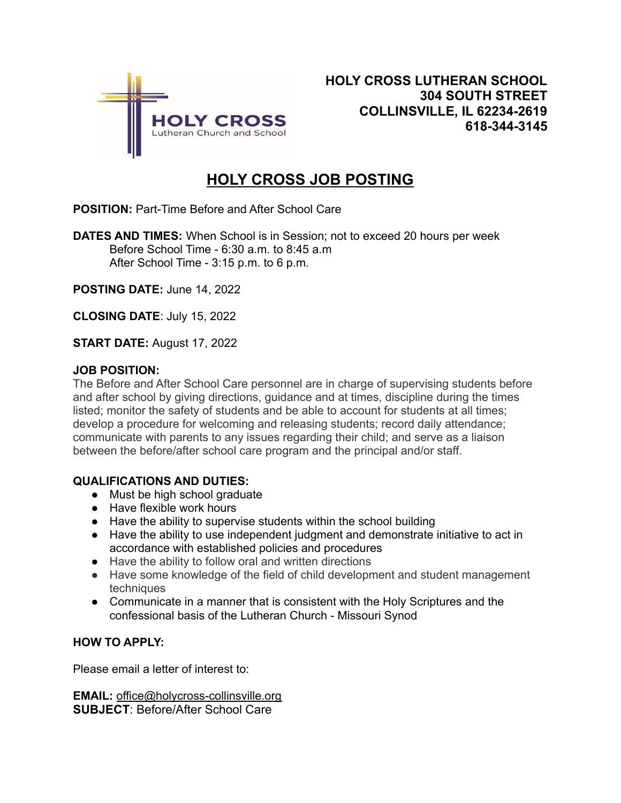

## **HOLY CROSS JOB POSTING**

**POSITION:** Part-Time Before and After School Care

**DATES AND TIMES:** When School is in Session; not to exceed 20 hours per week Before School Time - 6:30 a.m. to 8:45 a.m After School Time - 3:15 p.m. to 6 p.m.

**POSTING DATE:** June 14, 2022

**CLOSING DATE**: July 15, 2022

**START DATE:** August 17, 2022

## **JOB POSITION:**

The Before and After School Care personnel are in charge of supervising students before and after school by giving directions, guidance and at times, discipline during the times listed; monitor the safety of students and be able to account for students at all times; develop a procedure for welcoming and releasing students; record daily attendance; communicate with parents to any issues regarding their child; and serve as a liaison between the before/after school care program and the principal and/or staff.

## **QUALIFICATIONS AND DUTIES:**

- Must be high school graduate
- Have flexible work hours
- Have the ability to supervise students within the school building
- Have the ability to use independent judgment and demonstrate initiative to act in accordance with established policies and procedures
- Have the ability to follow oral and written directions
- Have some knowledge of the field of child development and student management techniques
- Communicate in a manner that is consistent with the Holy Scriptures and the confessional basis of the Lutheran Church - Missouri Synod

## **HOW TO APPLY:**

Please email a letter of interest to:

**EMAIL:** office@holycross-collinsville.org **SUBJECT**: Before/After School Care